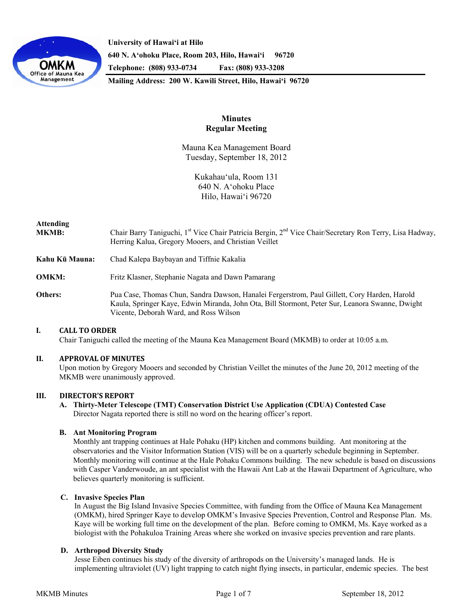

**University of Hawaiʻi at Hilo 640 N. A'ohoku Place, Room 203, Hilo, Hawai'i 96720 Telephone: (808) 933-0734 Fax: (808) 933-3208** 

**Mailing Address: 200 W. Kawili Street, Hilo, Hawai'i 96720** 

# **Minutes Regular Meeting**

Mauna Kea Management Board Tuesday, September 18, 2012

> Kukahau'ula, Room 131 640 N. A'ohoku Place Hilo, Hawai'i 96720

| Attending<br>MKMB: | Chair Barry Taniguchi, 1 <sup>st</sup> Vice Chair Patricia Bergin, 2 <sup>nd</sup> Vice Chair/Secretary Ron Terry, Lisa Hadway,<br>Herring Kalua, Gregory Mooers, and Christian Veillet                                                   |
|--------------------|-------------------------------------------------------------------------------------------------------------------------------------------------------------------------------------------------------------------------------------------|
| Kahu Kū Mauna:     | Chad Kalepa Baybayan and Tiffnie Kakalia                                                                                                                                                                                                  |
| OMKM:              | Fritz Klasner, Stephanie Nagata and Dawn Pamarang                                                                                                                                                                                         |
| Others:            | Pua Case, Thomas Chun, Sandra Dawson, Hanalei Fergerstrom, Paul Gillett, Cory Harden, Harold<br>Kaula, Springer Kaye, Edwin Miranda, John Ota, Bill Stormont, Peter Sur, Leanora Swanne, Dwight<br>Vicente, Deborah Ward, and Ross Wilson |

## **I. CALL TO ORDER**

Chair Taniguchi called the meeting of the Mauna Kea Management Board (MKMB) to order at 10:05 a.m.

## **II. APPROVAL OF MINUTES**

Upon motion by Gregory Mooers and seconded by Christian Veillet the minutes of the June 20, 2012 meeting of the MKMB were unanimously approved.

## **III. DIRECTOR'S REPORT**

**A. Thirty-Meter Telescope (TMT) Conservation District Use Application (CDUA) Contested Case**  Director Nagata reported there is still no word on the hearing officer's report.

## **B. Ant Monitoring Program**

Monthly ant trapping continues at Hale Pohaku (HP) kitchen and commons building. Ant monitoring at the observatories and the Visitor Information Station (VIS) will be on a quarterly schedule beginning in September. Monthly monitoring will continue at the Hale Pohaku Commons building. The new schedule is based on discussions with Casper Vanderwoude, an ant specialist with the Hawaii Ant Lab at the Hawaii Department of Agriculture, who believes quarterly monitoring is sufficient.

## **C. Invasive Species Plan**

In August the Big Island Invasive Species Committee, with funding from the Office of Mauna Kea Management (OMKM), hired Springer Kaye to develop OMKM's Invasive Species Prevention, Control and Response Plan. Ms. Kaye will be working full time on the development of the plan. Before coming to OMKM, Ms. Kaye worked as a biologist with the Pohakuloa Training Areas where she worked on invasive species prevention and rare plants.

## **D. Arthropod Diversity Study**

Jesse Eiben continues his study of the diversity of arthropods on the University's managed lands. He is implementing ultraviolet (UV) light trapping to catch night flying insects, in particular, endemic species. The best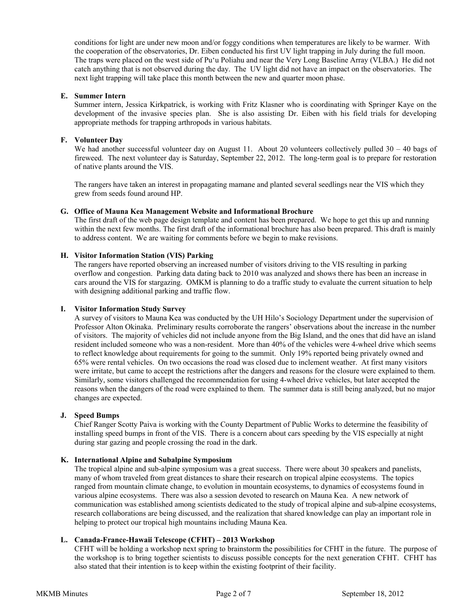conditions for light are under new moon and/or foggy conditions when temperatures are likely to be warmer. With the cooperation of the observatories, Dr. Eiben conducted his first UV light trapping in July during the full moon. The traps were placed on the west side of Pu'u Poliahu and near the Very Long Baseline Array (VLBA.) He did not catch anything that is not observed during the day. The UV light did not have an impact on the observatories. The next light trapping will take place this month between the new and quarter moon phase.

### **E. Summer Intern**

Summer intern, Jessica Kirkpatrick, is working with Fritz Klasner who is coordinating with Springer Kaye on the development of the invasive species plan. She is also assisting Dr. Eiben with his field trials for developing appropriate methods for trapping arthropods in various habitats.

## **F. Volunteer Day**

We had another successful volunteer day on August 11. About 20 volunteers collectively pulled  $30 - 40$  bags of fireweed. The next volunteer day is Saturday, September 22, 2012. The long-term goal is to prepare for restoration of native plants around the VIS.

The rangers have taken an interest in propagating mamane and planted several seedlings near the VIS which they grew from seeds found around HP.

#### **G. Office of Mauna Kea Management Website and Informational Brochure**

The first draft of the web page design template and content has been prepared. We hope to get this up and running within the next few months. The first draft of the informational brochure has also been prepared. This draft is mainly to address content. We are waiting for comments before we begin to make revisions.

## **H. Visitor Information Station (VIS) Parking**

The rangers have reported observing an increased number of visitors driving to the VIS resulting in parking overflow and congestion. Parking data dating back to 2010 was analyzed and shows there has been an increase in cars around the VIS for stargazing. OMKM is planning to do a traffic study to evaluate the current situation to help with designing additional parking and traffic flow.

#### **I. Visitor Information Study Survey**

A survey of visitors to Mauna Kea was conducted by the UH Hilo's Sociology Department under the supervision of Professor Alton Okinaka. Preliminary results corroborate the rangers' observations about the increase in the number of visitors. The majority of vehicles did not include anyone from the Big Island, and the ones that did have an island resident included someone who was a non-resident. More than 40% of the vehicles were 4-wheel drive which seems to reflect knowledge about requirements for going to the summit. Only 19% reported being privately owned and 65% were rental vehicles. On two occasions the road was closed due to inclement weather. At first many visitors were irritate, but came to accept the restrictions after the dangers and reasons for the closure were explained to them. Similarly, some visitors challenged the recommendation for using 4-wheel drive vehicles, but later accepted the reasons when the dangers of the road were explained to them. The summer data is still being analyzed, but no major changes are expected.

### **J. Speed Bumps**

Chief Ranger Scotty Paiva is working with the County Department of Public Works to determine the feasibility of installing speed bumps in front of the VIS. There is a concern about cars speeding by the VIS especially at night during star gazing and people crossing the road in the dark.

## **K. International Alpine and Subalpine Symposium**

The tropical alpine and sub-alpine symposium was a great success. There were about 30 speakers and panelists, many of whom traveled from great distances to share their research on tropical alpine ecosystems. The topics ranged from mountain climate change, to evolution in mountain ecosystems, to dynamics of ecosystems found in various alpine ecosystems. There was also a session devoted to research on Mauna Kea. A new network of communication was established among scientists dedicated to the study of tropical alpine and sub-alpine ecosystems, research collaborations are being discussed, and the realization that shared knowledge can play an important role in helping to protect our tropical high mountains including Mauna Kea.

## **L. Canada-France-Hawaii Telescope (CFHT) – 2013 Workshop**

CFHT will be holding a workshop next spring to brainstorm the possibilities for CFHT in the future. The purpose of the workshop is to bring together scientists to discuss possible concepts for the next generation CFHT. CFHT has also stated that their intention is to keep within the existing footprint of their facility.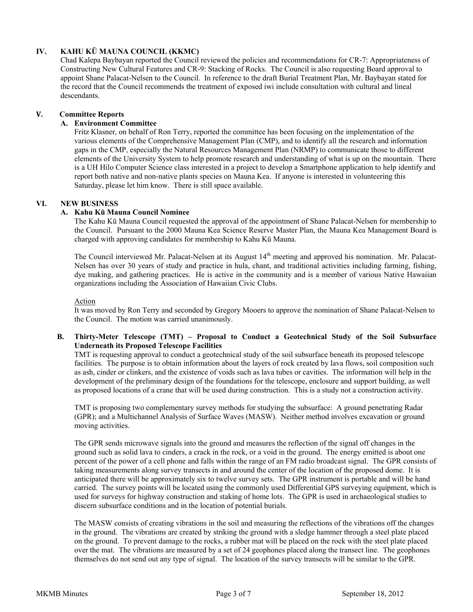# **IV. KAHU KŪ MAUNA COUNCIL (KKMC)**

Chad Kalepa Baybayan reported the Council reviewed the policies and recommendations for CR-7: Appropriateness of Constructing New Cultural Features and CR-9: Stacking of Rocks. The Council is also requesting Board approval to appoint Shane Palacat-Nelsen to the Council. In reference to the draft Burial Treatment Plan, Mr. Baybayan stated for the record that the Council recommends the treatment of exposed iwi include consultation with cultural and lineal descendants.

## **V. Committee Reports**

# **A. Environment Committee**

Fritz Klasner, on behalf of Ron Terry, reported the committee has been focusing on the implementation of the various elements of the Comprehensive Management Plan (CMP), and to identify all the research and information gaps in the CMP, especially the Natural Resources Management Plan (NRMP) to communicate those to different elements of the University System to help promote research and understanding of what is up on the mountain. There is a UH Hilo Computer Science class interested in a project to develop a Smartphone application to help identify and report both native and non-native plants species on Mauna Kea. If anyone is interested in volunteering this Saturday, please let him know. There is still space available.

# **VI. NEW BUSINESS**

## **A. Kahu Kū Mauna Council Nominee**

The Kahu Kū Mauna Council requested the approval of the appointment of Shane Palacat-Nelsen for membership to the Council. Pursuant to the 2000 Mauna Kea Science Reserve Master Plan, the Mauna Kea Management Board is charged with approving candidates for membership to Kahu Kū Mauna.

The Council interviewed Mr. Palacat-Nelsen at its August 14<sup>th</sup> meeting and approved his nomination. Mr. Palacat-Nelsen has over 30 years of study and practice in hula, chant, and traditional activities including farming, fishing, dye making, and gathering practices. He is active in the community and is a member of various Native Hawaiian organizations including the Association of Hawaiian Civic Clubs.

## Action

It was moved by Ron Terry and seconded by Gregory Mooers to approve the nomination of Shane Palacat-Nelsen to the Council. The motion was carried unanimously.

## **B. Thirty-Meter Telescope (TMT) – Proposal to Conduct a Geotechnical Study of the Soil Subsurface Underneath its Proposed Telescope Facilities**

TMT is requesting approval to conduct a geotechnical study of the soil subsurface beneath its proposed telescope facilities. The purpose is to obtain information about the layers of rock created by lava flows, soil composition such as ash, cinder or clinkers, and the existence of voids such as lava tubes or cavities. The information will help in the development of the preliminary design of the foundations for the telescope, enclosure and support building, as well as proposed locations of a crane that will be used during construction. This is a study not a construction activity.

TMT is proposing two complementary survey methods for studying the subsurface: A ground penetrating Radar (GPR); and a Multichannel Analysis of Surface Waves (MASW). Neither method involves excavation or ground moving activities.

The GPR sends microwave signals into the ground and measures the reflection of the signal off changes in the ground such as solid lava to cinders, a crack in the rock, or a void in the ground. The energy emitted is about one percent of the power of a cell phone and falls within the range of an FM radio broadcast signal. The GPR consists of taking measurements along survey transects in and around the center of the location of the proposed dome. It is anticipated there will be approximately six to twelve survey sets. The GPR instrument is portable and will be hand carried. The survey points will be located using the commonly used Differential GPS surveying equipment, which is used for surveys for highway construction and staking of home lots. The GPR is used in archaeological studies to discern subsurface conditions and in the location of potential burials.

The MASW consists of creating vibrations in the soil and measuring the reflections of the vibrations off the changes in the ground. The vibrations are created by striking the ground with a sledge hammer through a steel plate placed on the ground. To prevent damage to the rocks, a rubber mat will be placed on the rock with the steel plate placed over the mat. The vibrations are measured by a set of 24 geophones placed along the transect line. The geophones themselves do not send out any type of signal. The location of the survey transects will be similar to the GPR.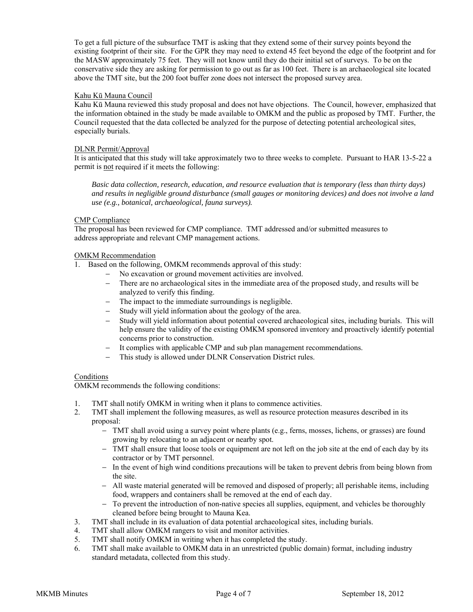To get a full picture of the subsurface TMT is asking that they extend some of their survey points beyond the existing footprint of their site. For the GPR they may need to extend 45 feet beyond the edge of the footprint and for the MASW approximately 75 feet. They will not know until they do their initial set of surveys. To be on the conservative side they are asking for permission to go out as far as 100 feet. There is an archaeological site located above the TMT site, but the 200 foot buffer zone does not intersect the proposed survey area.

## Kahu Kū Mauna Council

Kahu Kū Mauna reviewed this study proposal and does not have objections. The Council, however, emphasized that the information obtained in the study be made available to OMKM and the public as proposed by TMT. Further, the Council requested that the data collected be analyzed for the purpose of detecting potential archeological sites, especially burials.

### DLNR Permit/Approval

It is anticipated that this study will take approximately two to three weeks to complete. Pursuant to HAR 13-5-22 a permit is not required if it meets the following:

*Basic data collection, research, education, and resource evaluation that is temporary (less than thirty days) and results in negligible ground disturbance (small gauges or monitoring devices) and does not involve a land use (e.g., botanical, archaeological, fauna surveys).*

## CMP Compliance

The proposal has been reviewed for CMP compliance. TMT addressed and/or submitted measures to address appropriate and relevant CMP management actions.

## OMKM Recommendation

- 1. Based on the following, OMKM recommends approval of this study:
	- No excavation or ground movement activities are involved.
	- − There are no archaeological sites in the immediate area of the proposed study, and results will be analyzed to verify this finding.
	- The impact to the immediate surroundings is negligible.
	- Study will yield information about the geology of the area.
	- − Study will yield information about potential covered archaeological sites, including burials. This will help ensure the validity of the existing OMKM sponsored inventory and proactively identify potential concerns prior to construction.
	- − It complies with applicable CMP and sub plan management recommendations.
	- This study is allowed under DLNR Conservation District rules.

## Conditions

OMKM recommends the following conditions:

- 1. TMT shall notify OMKM in writing when it plans to commence activities.
- 2. TMT shall implement the following measures, as well as resource protection measures described in its proposal:
	- − TMT shall avoid using a survey point where plants (e.g., ferns, mosses, lichens, or grasses) are found growing by relocating to an adjacent or nearby spot.
	- − TMT shall ensure that loose tools or equipment are not left on the job site at the end of each day by its contractor or by TMT personnel.
	- − In the event of high wind conditions precautions will be taken to prevent debris from being blown from the site.
	- − All waste material generated will be removed and disposed of properly; all perishable items, including food, wrappers and containers shall be removed at the end of each day.
	- − To prevent the introduction of non-native species all supplies, equipment, and vehicles be thoroughly cleaned before being brought to Mauna Kea.
- 3. TMT shall include in its evaluation of data potential archaeological sites, including burials.
- 4. TMT shall allow OMKM rangers to visit and monitor activities.
- 5. TMT shall notify OMKM in writing when it has completed the study.
- 6. TMT shall make available to OMKM data in an unrestricted (public domain) format, including industry standard metadata, collected from this study.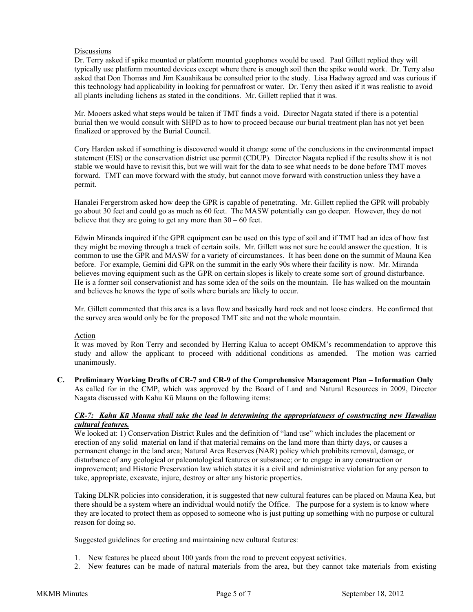## **Discussions**

Dr. Terry asked if spike mounted or platform mounted geophones would be used. Paul Gillett replied they will typically use platform mounted devices except where there is enough soil then the spike would work. Dr. Terry also asked that Don Thomas and Jim Kauahikaua be consulted prior to the study. Lisa Hadway agreed and was curious if this technology had applicability in looking for permafrost or water. Dr. Terry then asked if it was realistic to avoid all plants including lichens as stated in the conditions. Mr. Gillett replied that it was.

Mr. Mooers asked what steps would be taken if TMT finds a void. Director Nagata stated if there is a potential burial then we would consult with SHPD as to how to proceed because our burial treatment plan has not yet been finalized or approved by the Burial Council.

Cory Harden asked if something is discovered would it change some of the conclusions in the environmental impact statement (EIS) or the conservation district use permit (CDUP). Director Nagata replied if the results show it is not stable we would have to revisit this, but we will wait for the data to see what needs to be done before TMT moves forward. TMT can move forward with the study, but cannot move forward with construction unless they have a permit.

Hanalei Fergerstrom asked how deep the GPR is capable of penetrating. Mr. Gillett replied the GPR will probably go about 30 feet and could go as much as 60 feet. The MASW potentially can go deeper. However, they do not believe that they are going to get any more than  $30 - 60$  feet.

Edwin Miranda inquired if the GPR equipment can be used on this type of soil and if TMT had an idea of how fast they might be moving through a track of certain soils. Mr. Gillett was not sure he could answer the question. It is common to use the GPR and MASW for a variety of circumstances. It has been done on the summit of Mauna Kea before. For example, Gemini did GPR on the summit in the early 90s where their facility is now. Mr. Miranda believes moving equipment such as the GPR on certain slopes is likely to create some sort of ground disturbance. He is a former soil conservationist and has some idea of the soils on the mountain. He has walked on the mountain and believes he knows the type of soils where burials are likely to occur.

Mr. Gillett commented that this area is a lava flow and basically hard rock and not loose cinders. He confirmed that the survey area would only be for the proposed TMT site and not the whole mountain.

# Action

It was moved by Ron Terry and seconded by Herring Kalua to accept OMKM's recommendation to approve this study and allow the applicant to proceed with additional conditions as amended. The motion was carried unanimously.

**C. Preliminary Working Drafts of CR-7 and CR-9 of the Comprehensive Management Plan – Information Only**  As called for in the CMP, which was approved by the Board of Land and Natural Resources in 2009, Director Nagata discussed with Kahu Kū Mauna on the following items:

## *CR-7: Kahu Kū Mauna shall take the lead in determining the appropriateness of constructing new Hawaiian cultural features.*

We looked at: 1) Conservation District Rules and the definition of "land use" which includes the placement or erection of any solid material on land if that material remains on the land more than thirty days, or causes a permanent change in the land area; Natural Area Reserves (NAR) policy which prohibits removal, damage, or disturbance of any geological or paleontological features or substance; or to engage in any construction or improvement; and Historic Preservation law which states it is a civil and administrative violation for any person to take, appropriate, excavate, injure, destroy or alter any historic properties.

Taking DLNR policies into consideration, it is suggested that new cultural features can be placed on Mauna Kea, but there should be a system where an individual would notify the Office. The purpose for a system is to know where they are located to protect them as opposed to someone who is just putting up something with no purpose or cultural reason for doing so.

Suggested guidelines for erecting and maintaining new cultural features:

- 1. New features be placed about 100 yards from the road to prevent copycat activities.
- 2. New features can be made of natural materials from the area, but they cannot take materials from existing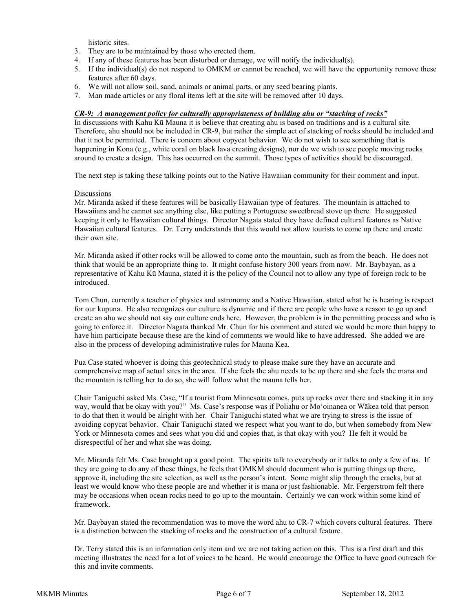historic sites.

- 3. They are to be maintained by those who erected them.
- 4. If any of these features has been disturbed or damage, we will notify the individual(s).
- 5. If the individual(s) do not respond to OMKM or cannot be reached, we will have the opportunity remove these features after 60 days.
- 6. We will not allow soil, sand, animals or animal parts, or any seed bearing plants.
- 7. Man made articles or any floral items left at the site will be removed after 10 days.

### *CR-9: A management policy for culturally appropriateness of building ahu or "stacking of rocks"*

In discussions with Kahu Kū Mauna it is believe that creating ahu is based on traditions and is a cultural site. Therefore, ahu should not be included in CR-9, but rather the simple act of stacking of rocks should be included and that it not be permitted. There is concern about copycat behavior. We do not wish to see something that is happening in Kona (e.g., white coral on black lava creating designs), nor do we wish to see people moving rocks around to create a design. This has occurred on the summit. Those types of activities should be discouraged.

The next step is taking these talking points out to the Native Hawaiian community for their comment and input.

### Discussions

Mr. Miranda asked if these features will be basically Hawaiian type of features. The mountain is attached to Hawaiians and he cannot see anything else, like putting a Portuguese sweetbread stove up there. He suggested keeping it only to Hawaiian cultural things. Director Nagata stated they have defined cultural features as Native Hawaiian cultural features. Dr. Terry understands that this would not allow tourists to come up there and create their own site.

Mr. Miranda asked if other rocks will be allowed to come onto the mountain, such as from the beach. He does not think that would be an appropriate thing to. It might confuse history 300 years from now. Mr. Baybayan, as a representative of Kahu Kū Mauna, stated it is the policy of the Council not to allow any type of foreign rock to be introduced.

Tom Chun, currently a teacher of physics and astronomy and a Native Hawaiian, stated what he is hearing is respect for our kupuna. He also recognizes our culture is dynamic and if there are people who have a reason to go up and create an ahu we should not say our culture ends here. However, the problem is in the permitting process and who is going to enforce it. Director Nagata thanked Mr. Chun for his comment and stated we would be more than happy to have him participate because these are the kind of comments we would like to have addressed. She added we are also in the process of developing administrative rules for Mauna Kea.

Pua Case stated whoever is doing this geotechnical study to please make sure they have an accurate and comprehensive map of actual sites in the area. If she feels the ahu needs to be up there and she feels the mana and the mountain is telling her to do so, she will follow what the mauna tells her.

Chair Taniguchi asked Ms. Case, "If a tourist from Minnesota comes, puts up rocks over there and stacking it in any way, would that be okay with you?" Ms. Case's response was if Poliahu or Moʻoinanea or Wākea told that person to do that then it would be alright with her. Chair Taniguchi stated what we are trying to stress is the issue of avoiding copycat behavior. Chair Taniguchi stated we respect what you want to do, but when somebody from New York or Minnesota comes and sees what you did and copies that, is that okay with you? He felt it would be disrespectful of her and what she was doing.

Mr. Miranda felt Ms. Case brought up a good point. The spirits talk to everybody or it talks to only a few of us. If they are going to do any of these things, he feels that OMKM should document who is putting things up there, approve it, including the site selection, as well as the person's intent. Some might slip through the cracks, but at least we would know who these people are and whether it is mana or just fashionable. Mr. Fergerstrom felt there may be occasions when ocean rocks need to go up to the mountain. Certainly we can work within some kind of framework.

Mr. Baybayan stated the recommendation was to move the word ahu to CR-7 which covers cultural features. There is a distinction between the stacking of rocks and the construction of a cultural feature.

Dr. Terry stated this is an information only item and we are not taking action on this. This is a first draft and this meeting illustrates the need for a lot of voices to be heard. He would encourage the Office to have good outreach for this and invite comments.